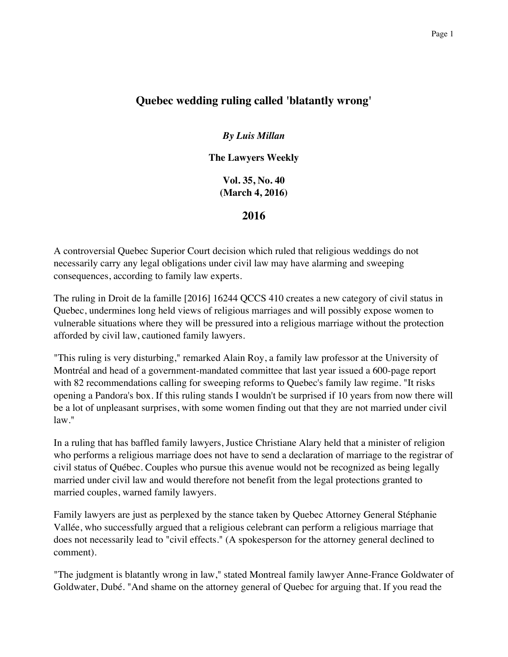## **Quebec wedding ruling called 'blatantly wrong'**

*By Luis Millan*

**The Lawyers Weekly**

**Vol. 35, No. 40 (March 4, 2016)**

**2016**

A controversial Quebec Superior Court decision which ruled that religious weddings do not necessarily carry any legal obligations under civil law may have alarming and sweeping consequences, according to family law experts.

The ruling in Droit de la famille [2016] 16244 QCCS 410 creates a new category of civil status in Quebec, undermines long held views of religious marriages and will possibly expose women to vulnerable situations where they will be pressured into a religious marriage without the protection afforded by civil law, cautioned family lawyers.

"This ruling is very disturbing," remarked Alain Roy, a family law professor at the University of Montréal and head of a government-mandated committee that last year issued a 600-page report with 82 recommendations calling for sweeping reforms to Quebec's family law regime. "It risks opening a Pandora's box. If this ruling stands I wouldn't be surprised if 10 years from now there will be a lot of unpleasant surprises, with some women finding out that they are not married under civil law."

In a ruling that has baffled family lawyers, Justice Christiane Alary held that a minister of religion who performs a religious marriage does not have to send a declaration of marriage to the registrar of civil status of Québec. Couples who pursue this avenue would not be recognized as being legally married under civil law and would therefore not benefit from the legal protections granted to married couples, warned family lawyers.

Family lawyers are just as perplexed by the stance taken by Quebec Attorney General Stéphanie Vallée, who successfully argued that a religious celebrant can perform a religious marriage that does not necessarily lead to "civil effects." (A spokesperson for the attorney general declined to comment).

"The judgment is blatantly wrong in law," stated Montreal family lawyer Anne-France Goldwater of Goldwater, Dubé. "And shame on the attorney general of Quebec for arguing that. If you read the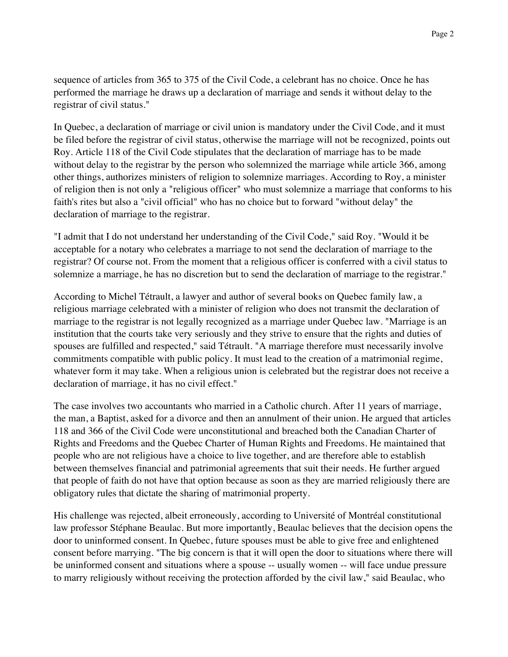sequence of articles from 365 to 375 of the Civil Code, a celebrant has no choice. Once he has performed the marriage he draws up a declaration of marriage and sends it without delay to the registrar of civil status."

In Quebec, a declaration of marriage or civil union is mandatory under the Civil Code, and it must be filed before the registrar of civil status, otherwise the marriage will not be recognized, points out Roy. Article 118 of the Civil Code stipulates that the declaration of marriage has to be made without delay to the registrar by the person who solemnized the marriage while article 366, among other things, authorizes ministers of religion to solemnize marriages. According to Roy, a minister of religion then is not only a "religious officer" who must solemnize a marriage that conforms to his faith's rites but also a "civil official" who has no choice but to forward "without delay" the declaration of marriage to the registrar.

"I admit that I do not understand her understanding of the Civil Code," said Roy. "Would it be acceptable for a notary who celebrates a marriage to not send the declaration of marriage to the registrar? Of course not. From the moment that a religious officer is conferred with a civil status to solemnize a marriage, he has no discretion but to send the declaration of marriage to the registrar."

According to Michel Tétrault, a lawyer and author of several books on Quebec family law, a religious marriage celebrated with a minister of religion who does not transmit the declaration of marriage to the registrar is not legally recognized as a marriage under Quebec law. "Marriage is an institution that the courts take very seriously and they strive to ensure that the rights and duties of spouses are fulfilled and respected," said Tétrault. "A marriage therefore must necessarily involve commitments compatible with public policy. It must lead to the creation of a matrimonial regime, whatever form it may take. When a religious union is celebrated but the registrar does not receive a declaration of marriage, it has no civil effect."

The case involves two accountants who married in a Catholic church. After 11 years of marriage, the man, a Baptist, asked for a divorce and then an annulment of their union. He argued that articles 118 and 366 of the Civil Code were unconstitutional and breached both the Canadian Charter of Rights and Freedoms and the Quebec Charter of Human Rights and Freedoms. He maintained that people who are not religious have a choice to live together, and are therefore able to establish between themselves financial and patrimonial agreements that suit their needs. He further argued that people of faith do not have that option because as soon as they are married religiously there are obligatory rules that dictate the sharing of matrimonial property.

His challenge was rejected, albeit erroneously, according to Université of Montréal constitutional law professor Stéphane Beaulac. But more importantly, Beaulac believes that the decision opens the door to uninformed consent. In Quebec, future spouses must be able to give free and enlightened consent before marrying. "The big concern is that it will open the door to situations where there will be uninformed consent and situations where a spouse -- usually women -- will face undue pressure to marry religiously without receiving the protection afforded by the civil law," said Beaulac, who